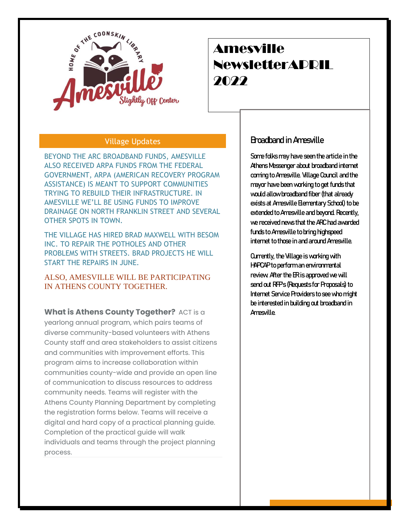

# Amesville NewsletterAPRIL 2022

## Village Updates

BEYOND THE ARC BROADBAND FUNDS, AMESVILLE ALSO RECEIVED ARPA FUNDS FROM THE FEDERAL GOVERNMENT, ARPA (AMERICAN RECOVERY PROGRAM ASSISTANCE) IS MEANT TO SUPPORT COMMUNITIES TRYING TO REBUILD THEIR INFRASTRUCTURE. IN AMESVILLE WE'LL BE USING FUNDS TO IMPROVE DRAINAGE ON NORTH FRANKLIN STREET AND SEVERAL OTHER SPOTS IN TOWN.

THE VILLAGE HAS HIRED BRAD MAXWELL WITH BESOM INC. TO REPAIR THE POTHOLES AND OTHER PROBLEMS WITH STREETS. BRAD PROJECTS HE WILL START THE REPAIRS IN JUNE.

ALSO, AMESVILLE WILL BE PARTICIPATING IN ATHENS COUNTY TOGETHER.

**What is Athens County Together?** ACT is a yearlong annual program, which pairs teams of diverse community-based volunteers with Athens County staff and area stakeholders to assist citizens and communities with improvement efforts. This program aims to increase collaboration within communities county-wide and provide an open line of communication to discuss resources to address community needs. Teams will register with the Athens County Planning Department by completing the registration forms below. Teams will receive a digital and hard copy of a practical planning guide. Completion of the practical guide will walk individuals and teams through the project planning process.

## Broadband in Amesville

Some folks may have seen the article in the Athens Messenger about broadband internet coming to Amesville. Village Council and the mayor have been working to get funds that would allow broadband fiber (that already exists at Amesville Elementary School) to be extended to Amesville and beyond. Recently, we received news that the ARC had awarded funds to Amesville to bring highspeed internet to those in and around Amesville.

Currently, the Village is working with HAPCAP to perform an environmental review. After the ER is approved we will send out RFP's (Requests for Proposals) to Internet Service Providers to see who might be interested in building out broadband in Amesville.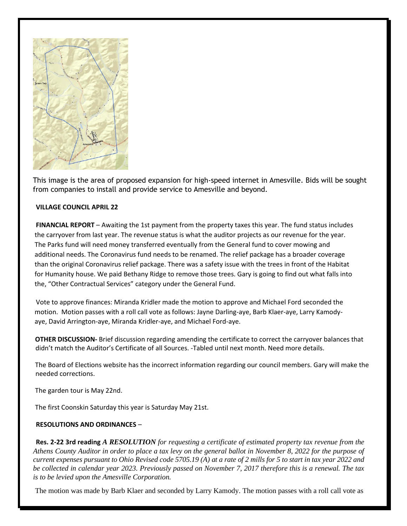

This image is the area of proposed expansion for high-speed internet in Amesville. Bids will be sought from companies to install and provide service to Amesville and beyond.

### **VILLAGE COUNCIL APRIL 22**

**FINANCIAL REPORT** – Awaiting the 1st payment from the property taxes this year. The fund status includes the carryover from last year. The revenue status is what the auditor projects as our revenue for the year. The Parks fund will need money transferred eventually from the General fund to cover mowing and additional needs. The Coronavirus fund needs to be renamed. The relief package has a broader coverage than the original Coronavirus relief package. There was a safety issue with the trees in front of the Habitat for Humanity house. We paid Bethany Ridge to remove those trees. Gary is going to find out what falls into the, "Other Contractual Services" category under the General Fund.

Vote to approve finances: Miranda Kridler made the motion to approve and Michael Ford seconded the motion. Motion passes with a roll call vote as follows: Jayne Darling-aye, Barb Klaer-aye, Larry Kamodyaye, David Arrington-aye, Miranda Kridler-aye, and Michael Ford-aye.

**OTHER DISCUSSION-** Brief discussion regarding amending the certificate to correct the carryover balances that didn't match the Auditor's Certificate of all Sources. -Tabled until next month. Need more details.

The Board of Elections website has the incorrect information regarding our council members. Gary will make the needed corrections.

The garden tour is May 22nd.

The first Coonskin Saturday this year is Saturday May 21st.

#### **RESOLUTIONS AND ORDINANCES** –

**Res. 2-22 3rd reading** *A RESOLUTION for requesting a certificate of estimated property tax revenue from the Athens County Auditor in order to place a tax levy on the general ballot in November 8, 2022 for the purpose of current expenses pursuant to Ohio Revised code 5705.19 (A) at a rate of 2 mills for 5 to start in tax year 2022 and be collected in calendar year 2023. Previously passed on November 7, 2017 therefore this is a renewal. The tax is to be levied upon the Amesville Corporation.* 

The motion was made by Barb Klaer and seconded by Larry Kamody. The motion passes with a roll call vote as